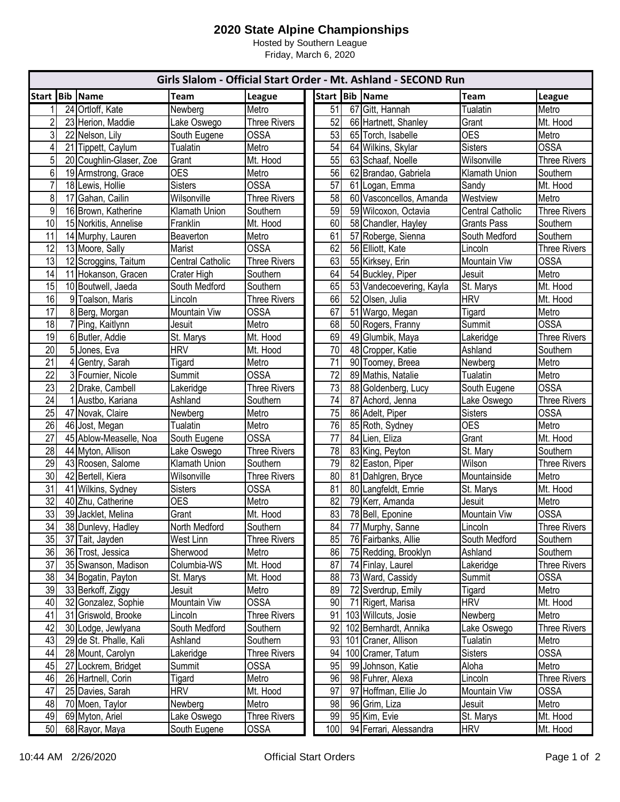## **2020 State Alpine Championships**

Hosted by Southern League Friday, March 6, 2020

| Girls Slalom - Official Start Order - Mt. Ashland - SECOND Run |    |                         |                  |                     |                 |    |                          |                         |                     |
|----------------------------------------------------------------|----|-------------------------|------------------|---------------------|-----------------|----|--------------------------|-------------------------|---------------------|
| <b>Start</b>                                                   |    | <b>Bib</b> Name         | <b>Team</b>      | League              |                 |    | Start Bib Name           | <b>Team</b>             | League              |
| 1                                                              |    | 24 Ortloff, Kate        | Newberg          | Metro               | 51              |    | 67 Gitt, Hannah          | <b>Tualatin</b>         | Metro               |
| $\overline{2}$                                                 |    | 23 Herion, Maddie       | Lake Oswego      | <b>Three Rivers</b> | 52              |    | 66 Hartnett, Shanley     | Grant                   | Mt. Hood            |
| $\mathbf{3}$                                                   |    | 22 Nelson, Lily         | South Eugene     | <b>OSSA</b>         | 53              |    | 65 Torch, Isabelle       | <b>OES</b>              | Metro               |
| $\overline{4}$                                                 |    | 21 Tippett, Caylum      | Tualatin         | Metro               | 54              |    | 64 Wilkins, Skylar       | <b>Sisters</b>          | <b>OSSA</b>         |
| $\overline{5}$                                                 |    | 20 Coughlin-Glaser, Zoe | Grant            | Mt. Hood            | 55              |    | 63 Schaaf, Noelle        | Wilsonville             | <b>Three Rivers</b> |
| 6                                                              |    | 19 Armstrong, Grace     | <b>OES</b>       | Metro               | 56              |    | 62 Brandao, Gabriela     | <b>Klamath Union</b>    | Southern            |
| $\overline{7}$                                                 |    | 18 Lewis, Hollie        | <b>Sisters</b>   | <b>OSSA</b>         | $\overline{57}$ |    | 61 Logan, Emma           | Sandy                   | Mt. Hood            |
| 8                                                              |    | 17 Gahan, Cailin        | Wilsonville      | <b>Three Rivers</b> | 58              |    | 60 Vasconcellos, Amanda  | Westview                | Metro               |
| 9                                                              |    | 16 Brown, Katherine     | Klamath Union    | Southern            | 59              |    | 59 Wilcoxon, Octavia     | <b>Central Catholic</b> | <b>Three Rivers</b> |
| 10                                                             |    | 15 Norkitis, Annelise   | Franklin         | Mt. Hood            | 60              |    | 58 Chandler, Hayley      | <b>Grants Pass</b>      | Southern            |
| 11                                                             |    | 14 Murphy, Lauren       | Beaverton        | Metro               | 61              |    | 57 Roberge, Sienna       | South Medford           | Southern            |
| 12                                                             |    | 13 Moore, Sally         | Marist           | <b>OSSA</b>         | 62              |    | 56 Elliott, Kate         | Lincoln                 | <b>Three Rivers</b> |
| 13                                                             |    | 12 Scroggins, Taitum    | Central Catholic | <b>Three Rivers</b> | 63              |    | 55 Kirksey, Erin         | Mountain Viw            | <b>OSSA</b>         |
| 14                                                             |    | 11 Hokanson, Gracen     | Crater High      | Southern            | 64              |    | 54 Buckley, Piper        | Jesuit                  | Metro               |
| 15                                                             |    | 10 Boutwell, Jaeda      | South Medford    | Southern            | 65              |    | 53 Vandecoevering, Kayla | St. Marys               | Mt. Hood            |
| 16                                                             |    | 9 Toalson, Maris        | Lincoln          | <b>Three Rivers</b> | 66              |    | 52 Olsen, Julia          | <b>HRV</b>              | Mt. Hood            |
| 17                                                             |    | 8 Berg, Morgan          | Mountain Viw     | <b>OSSA</b>         | 67              |    | 51 Wargo, Megan          | Tigard                  | Metro               |
| 18                                                             |    | 7 Ping, Kaitlynn        | Jesuit           | Metro               | 68              |    | 50 Rogers, Franny        | Summit                  | <b>OSSA</b>         |
| 19                                                             |    | 6 Butler, Addie         | St. Marys        | Mt. Hood            | 69              |    | 49 Glumbik, Maya         | Lakeridge               | <b>Three Rivers</b> |
| $\overline{20}$                                                |    | 5 Jones, Eva            | <b>HRV</b>       | Mt. Hood            | 70              |    | 48 Cropper, Katie        | Ashland                 | Southern            |
| $\overline{21}$                                                |    | 4 Gentry, Sarah         | Tigard           | Metro               | $\overline{71}$ |    | 90 Toomey, Breea         | Newberg                 | Metro               |
| $\overline{22}$                                                |    | 3 Fournier, Nicole      | Summit           | <b>OSSA</b>         | 72              |    | 89 Mathis, Natalie       | Tualatin                | Metro               |
| $\overline{23}$                                                |    | 2 Drake, Cambell        | Lakeridge        | <b>Three Rivers</b> | $\overline{73}$ |    | 88 Goldenberg, Lucy      | South Eugene            | <b>OSSA</b>         |
| $\overline{24}$                                                |    | 1 Austbo, Kariana       | Ashland          | Southern            | $\overline{74}$ |    | 87 Achord, Jenna         | Lake Oswego             | <b>Three Rivers</b> |
| 25                                                             |    | 47 Novak, Claire        | Newberg          | Metro               | 75              |    | 86 Adelt, Piper          | <b>Sisters</b>          | <b>OSSA</b>         |
| 26                                                             |    | 46 Jost, Megan          | Tualatin         | Metro               | 76              |    | 85 Roth, Sydney          | <b>OES</b>              | Metro               |
| 27                                                             |    | 45 Ablow-Measelle, Noa  | South Eugene     | <b>OSSA</b>         | 77              |    | 84 Lien, Eliza           | Grant                   | Mt. Hood            |
| 28                                                             |    | 44 Myton, Allison       | Lake Oswego      | <b>Three Rivers</b> | 78              |    | 83 King, Peyton          | St. Mary                | Southern            |
| $\overline{29}$                                                |    | 43 Roosen, Salome       | Klamath Union    | Southern            | 79              |    | 82 Easton, Piper         | Wilson                  | <b>Three Rivers</b> |
| 30                                                             |    | 42 Bertell, Kiera       | Wilsonville      | <b>Three Rivers</b> | 80              |    | 81 Dahlgren, Bryce       | Mountainside            | Metro               |
| 31                                                             |    | 41 Wilkins, Sydney      | <b>Sisters</b>   | <b>OSSA</b>         | 81              |    | 80 Langfeldt, Emrie      | St. Marys               | Mt. Hood            |
| $\overline{32}$                                                |    | 40 Zhu, Catherine       | <b>OES</b>       | Metro               | 82              |    | 79 Kerr, Amanda          | Jesuit                  | Metro               |
| 33                                                             |    | 39 Jacklet, Melina      | Grant            | Mt. Hood            | 83              |    | 78 Bell, Eponine         | <b>Mountain Viw</b>     | <b>OSSA</b>         |
| 34                                                             |    | 38 Dunlevy, Hadley      | North Medford    | Southern            | 84              |    | 77 Murphy, Sanne         | Lincoln                 | Three Rivers        |
| 35                                                             |    | 37 Tait, Jayden         | West Linn        | <b>Three Rivers</b> | 85              |    | 76 Fairbanks, Allie      | South Medford           | Southern            |
| 36                                                             |    | 36 Trost, Jessica       | Sherwood         | Metro               | 86              |    | 75 Redding, Brooklyn     | Ashland                 | Southern            |
| 37                                                             |    | 35 Swanson, Madison     | Columbia-WS      | Mt. Hood            | 87              |    | 74 Finlay, Laurel        | Lakeridge               | <b>Three Rivers</b> |
| 38                                                             |    | 34 Bogatin, Payton      | St. Marys        | Mt. Hood            | 88              |    | 73 Ward, Cassidy         | Summit                  | <b>OSSA</b>         |
| 39                                                             |    | 33 Berkoff, Ziggy       | Jesuit           | Metro               | 89              |    | 72 Sverdrup, Emily       | Tigard                  | Metro               |
| 40                                                             |    | 32 Gonzalez, Sophie     | Mountain Viw     | <b>OSSA</b>         | 90              |    | 71 Rigert, Marisa        | <b>HRV</b>              | Mt. Hood            |
| 41                                                             |    | 31 Griswold, Brooke     | Lincoln          | <b>Three Rivers</b> | 91              |    | 103 Willcuts, Josie      | Newberg                 | Metro               |
| 42                                                             |    | 30 Lodge, Jewlyana      | South Medford    | Southern            | 92              |    | 102 Bernhardt, Annika    | Lake Oswego             | Three Rivers        |
| 43                                                             |    | 29 de St. Phalle, Kali  | Ashland          | Southern            | 93              |    | 101 Craner, Allison      | Tualatin                | Metro               |
| 44                                                             |    | 28 Mount, Carolyn       | Lakeridge        | Three Rivers        | 94              |    | 100 Cramer, Tatum        | <b>Sisters</b>          | <b>OSSA</b>         |
| 45                                                             | 27 | Lockrem, Bridget        | Summit           | <b>OSSA</b>         | 95              | 99 | Johnson, Katie           | Aloha                   | Metro               |
| 46                                                             |    | 26 Hartnell, Corin      | Tigard           | Metro               | 96              |    | 98 Fuhrer, Alexa         | Lincoln                 | <b>Three Rivers</b> |
| 47                                                             |    | 25 Davies, Sarah        | <b>HRV</b>       | Mt. Hood            | 97              |    | 97 Hoffman, Ellie Jo     | Mountain Viw            | <b>OSSA</b>         |
| 48                                                             |    | 70 Moen, Taylor         | Newberg          | Metro               | 98              |    | 96 Grim, Liza            | Jesuit                  | Metro               |
| 49                                                             |    | 69 Myton, Ariel         | Lake Oswego      | <b>Three Rivers</b> | 99              |    | 95 Kim, Evie             | St. Marys               | Mt. Hood            |
| 50                                                             |    | 68 Rayor, Maya          | South Eugene     | <b>OSSA</b>         | 100             |    | 94 Ferrari, Alessandra   | <b>HRV</b>              | Mt. Hood            |